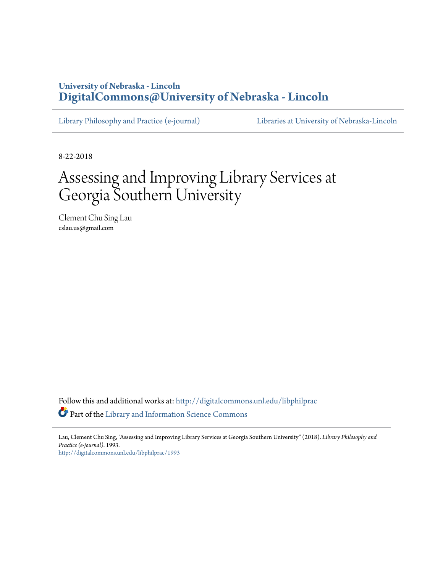## **University of Nebraska - Lincoln [DigitalCommons@University of Nebraska - Lincoln](http://digitalcommons.unl.edu?utm_source=digitalcommons.unl.edu%2Flibphilprac%2F1993&utm_medium=PDF&utm_campaign=PDFCoverPages)**

[Library Philosophy and Practice \(e-journal\)](http://digitalcommons.unl.edu/libphilprac?utm_source=digitalcommons.unl.edu%2Flibphilprac%2F1993&utm_medium=PDF&utm_campaign=PDFCoverPages) [Libraries at University of Nebraska-Lincoln](http://digitalcommons.unl.edu/libraries?utm_source=digitalcommons.unl.edu%2Flibphilprac%2F1993&utm_medium=PDF&utm_campaign=PDFCoverPages)

8-22-2018

# Assessing and Improving Library Services at Georgia Southern University

Clement Chu Sing Lau cslau.us@gmail.com

Follow this and additional works at: [http://digitalcommons.unl.edu/libphilprac](http://digitalcommons.unl.edu/libphilprac?utm_source=digitalcommons.unl.edu%2Flibphilprac%2F1993&utm_medium=PDF&utm_campaign=PDFCoverPages) Part of the [Library and Information Science Commons](http://network.bepress.com/hgg/discipline/1018?utm_source=digitalcommons.unl.edu%2Flibphilprac%2F1993&utm_medium=PDF&utm_campaign=PDFCoverPages)

Lau, Clement Chu Sing, "Assessing and Improving Library Services at Georgia Southern University" (2018). *Library Philosophy and Practice (e-journal)*. 1993.

[http://digitalcommons.unl.edu/libphilprac/1993](http://digitalcommons.unl.edu/libphilprac/1993?utm_source=digitalcommons.unl.edu%2Flibphilprac%2F1993&utm_medium=PDF&utm_campaign=PDFCoverPages)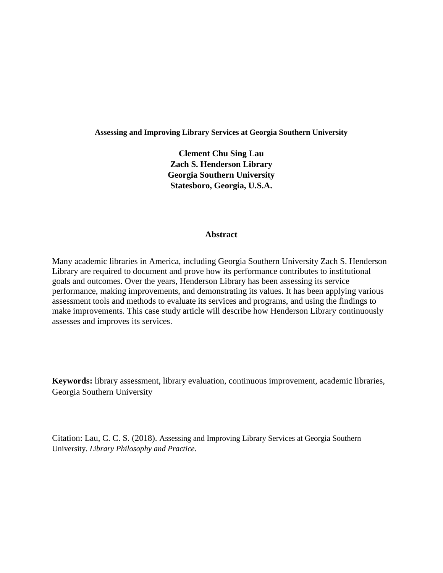## **Assessing and Improving Library Services at Georgia Southern University**

**Clement Chu Sing Lau Zach S. Henderson Library Georgia Southern University Statesboro, Georgia, U.S.A.**

## **Abstract**

Many academic libraries in America, including Georgia Southern University Zach S. Henderson Library are required to document and prove how its performance contributes to institutional goals and outcomes. Over the years, Henderson Library has been assessing its service performance, making improvements, and demonstrating its values. It has been applying various assessment tools and methods to evaluate its services and programs, and using the findings to make improvements. This case study article will describe how Henderson Library continuously assesses and improves its services.

**Keywords:** library assessment, library evaluation, continuous improvement, academic libraries, Georgia Southern University

Citation: Lau, C. C. S. (2018). Assessing and Improving Library Services at Georgia Southern University. *Library Philosophy and Practice.*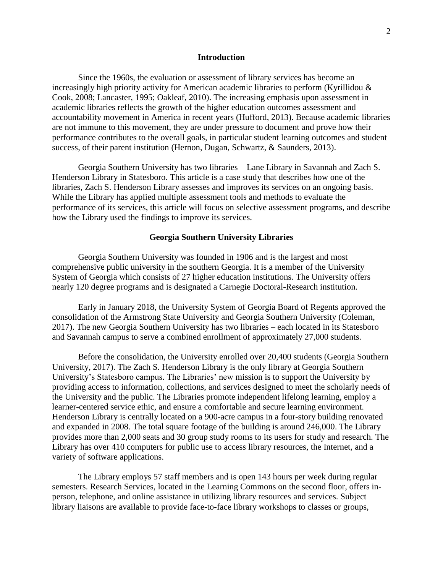## **Introduction**

Since the 1960s, the evaluation or assessment of library services has become an increasingly high priority activity for American academic libraries to perform (Kyrillidou & Cook, 2008; Lancaster, 1995; Oakleaf, 2010). The increasing emphasis upon assessment in academic libraries reflects the growth of the higher education outcomes assessment and accountability movement in America in recent years (Hufford, 2013). Because academic libraries are not immune to this movement, they are under pressure to document and prove how their performance contributes to the overall goals, in particular student learning outcomes and student success, of their parent institution (Hernon, Dugan, Schwartz, & Saunders, 2013).

Georgia Southern University has two libraries—Lane Library in Savannah and Zach S. Henderson Library in Statesboro. This article is a case study that describes how one of the libraries, Zach S. Henderson Library assesses and improves its services on an ongoing basis. While the Library has applied multiple assessment tools and methods to evaluate the performance of its services, this article will focus on selective assessment programs, and describe how the Library used the findings to improve its services.

## **Georgia Southern University Libraries**

Georgia Southern University was founded in 1906 and is the largest and most comprehensive public university in the southern Georgia. It is a member of the University System of Georgia which consists of 27 higher education institutions. The University offers nearly 120 degree programs and is designated a Carnegie Doctoral-Research institution.

Early in January 2018, the University System of Georgia Board of Regents approved the consolidation of the Armstrong State University and Georgia Southern University (Coleman, 2017). The new Georgia Southern University has two libraries – each located in its Statesboro and Savannah campus to serve a combined enrollment of approximately 27,000 students.

Before the consolidation, the University enrolled over 20,400 students (Georgia Southern University, 2017). The Zach S. Henderson Library is the only library at Georgia Southern University's Statesboro campus. The Libraries' new mission is to support the University by providing access to information, collections, and services designed to meet the scholarly needs of the University and the public. The Libraries promote independent lifelong learning, employ a learner-centered service ethic, and ensure a comfortable and secure learning environment. Henderson Library is centrally located on a 900-acre campus in a four-story building renovated and expanded in 2008. The total square footage of the building is around 246,000. The Library provides more than 2,000 seats and 30 group study rooms to its users for study and research. The Library has over 410 computers for public use to access library resources, the Internet, and a variety of software applications.

The Library employs 57 staff members and is open 143 hours per week during regular semesters. Research Services, located in the Learning Commons on the second floor, offers inperson, telephone, and online assistance in utilizing library resources and services. Subject library liaisons are available to provide face-to-face library workshops to classes or groups,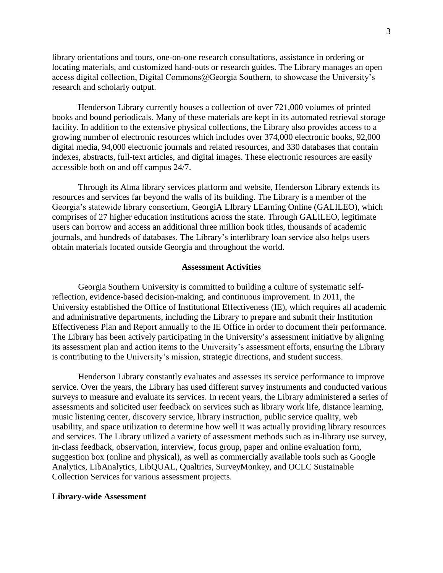library orientations and tours, one-on-one research consultations, assistance in ordering or locating materials, and customized hand-outs or research guides. The Library manages an open access digital collection, Digital Commons@Georgia Southern, to showcase the University's research and scholarly output.

Henderson Library currently houses a collection of over 721,000 volumes of printed books and bound periodicals. Many of these materials are kept in its automated retrieval storage facility. In addition to the extensive physical collections, the Library also provides access to a growing number of electronic resources which includes over 374,000 electronic books, 92,000 digital media, 94,000 electronic journals and related resources, and 330 databases that contain indexes, abstracts, full-text articles, and digital images. These electronic resources are easily accessible both on and off campus 24/7.

Through its Alma library services platform and website, Henderson Library extends its resources and services far beyond the walls of its building. The Library is a member of the Georgia's statewide library consortium, GeorgiA LIbrary LEarning Online (GALILEO), which comprises of 27 higher education institutions across the state. Through GALILEO, legitimate users can borrow and access an additional three million book titles, thousands of academic journals, and hundreds of databases. The Library's interlibrary loan service also helps users obtain materials located outside Georgia and throughout the world.

## **Assessment Activities**

Georgia Southern University is committed to building a culture of systematic selfreflection, evidence-based decision-making, and continuous improvement. In 2011, the University established the Office of Institutional Effectiveness (IE), which requires all academic and administrative departments, including the Library to prepare and submit their Institution Effectiveness Plan and Report annually to the IE Office in order to document their performance. The Library has been actively participating in the University's assessment initiative by aligning its assessment plan and action items to the University's assessment efforts, ensuring the Library is contributing to the University's mission, strategic directions, and student success.

Henderson Library constantly evaluates and assesses its service performance to improve service. Over the years, the Library has used different survey instruments and conducted various surveys to measure and evaluate its services. In recent years, the Library administered a series of assessments and solicited user feedback on services such as library work life, distance learning, music listening center, discovery service, library instruction, public service quality, web usability, and space utilization to determine how well it was actually providing library resources and services. The Library utilized a variety of assessment methods such as in-library use survey, in-class feedback, observation, interview, focus group, paper and online evaluation form, suggestion box (online and physical), as well as commercially available tools such as Google Analytics, LibAnalytics, LibQUAL, Qualtrics, SurveyMonkey, and OCLC Sustainable Collection Services for various assessment projects.

## **Library-wide Assessment**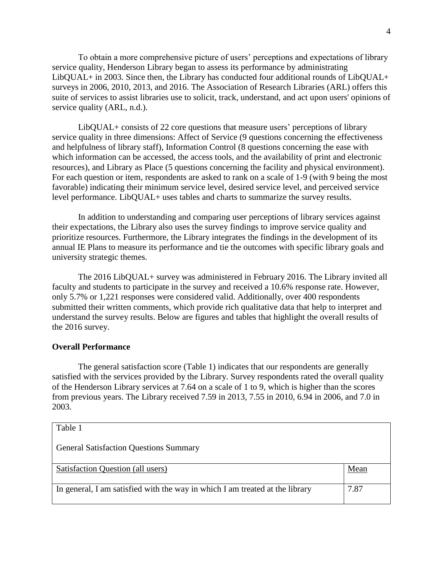To obtain a more comprehensive picture of users' perceptions and expectations of library service quality, Henderson Library began to assess its performance by administrating LibQUAL+ in 2003. Since then, the Library has conducted four additional rounds of LibQUAL+ surveys in 2006, 2010, 2013, and 2016. The Association of Research Libraries (ARL) offers this suite of services to assist libraries use to solicit, track, understand, and act upon users' opinions of service quality (ARL, n.d.).

LibQUAL+ consists of 22 core questions that measure users' perceptions of library service quality in three dimensions: Affect of Service (9 questions concerning the effectiveness and helpfulness of library staff), Information Control (8 questions concerning the ease with which information can be accessed, the access tools, and the availability of print and electronic resources), and Library as Place (5 questions concerning the facility and physical environment). For each question or item, respondents are asked to rank on a scale of 1-9 (with 9 being the most favorable) indicating their minimum service level, desired service level, and perceived service level performance. LibQUAL+ uses tables and charts to summarize the survey results.

In addition to understanding and comparing user perceptions of library services against their expectations, the Library also uses the survey findings to improve service quality and prioritize resources. Furthermore, the Library integrates the findings in the development of its annual IE Plans to measure its performance and tie the outcomes with specific library goals and university strategic themes.

The 2016 LibQUAL+ survey was administered in February 2016. The Library invited all faculty and students to participate in the survey and received a 10.6% response rate. However, only 5.7% or 1,221 responses were considered valid. Additionally, over 400 respondents submitted their written comments, which provide rich qualitative data that help to interpret and understand the survey results. Below are figures and tables that highlight the overall results of the 2016 survey.

## **Overall Performance**

The general satisfaction score (Table 1) indicates that our respondents are generally satisfied with the services provided by the Library. Survey respondents rated the overall quality of the Henderson Library services at 7.64 on a scale of 1 to 9, which is higher than the scores from previous years. The Library received 7.59 in 2013, 7.55 in 2010, 6.94 in 2006, and 7.0 in 2003.

| Table 1                                                                      |      |
|------------------------------------------------------------------------------|------|
| <b>General Satisfaction Questions Summary</b>                                |      |
| Satisfaction Question (all users)                                            | Mean |
| In general, I am satisfied with the way in which I am treated at the library | 7.87 |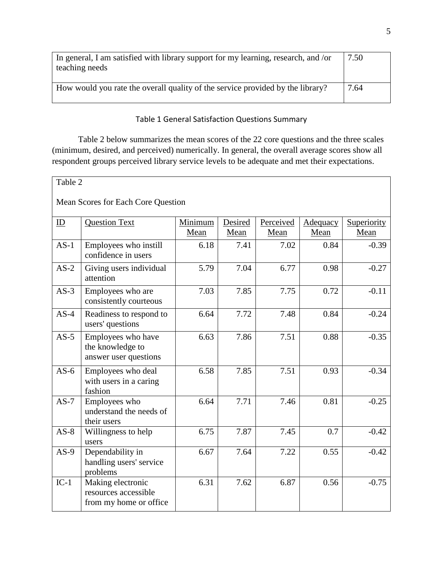| In general, I am satisfied with library support for my learning, research, and /or<br>teaching needs | 7.50 |
|------------------------------------------------------------------------------------------------------|------|
| How would you rate the overall quality of the service provided by the library?                       | 7.64 |

## Table 1 General Satisfaction Questions Summary

Table 2 below summarizes the mean scores of the 22 core questions and the three scales (minimum, desired, and perceived) numerically. In general, the overall average scores show all respondent groups perceived library service levels to be adequate and met their expectations.

## Table 2

Mean Scores for Each Core Question

| ID     | <b>Question Text</b>                                                | Minimum | Desired | Perceived |                  |                     |
|--------|---------------------------------------------------------------------|---------|---------|-----------|------------------|---------------------|
|        |                                                                     | Mean    | Mean    | Mean      | Adequacy<br>Mean | Superiority<br>Mean |
|        |                                                                     |         |         |           |                  |                     |
| $AS-1$ | Employees who instill<br>confidence in users                        | 6.18    | 7.41    | 7.02      | 0.84             | $-0.39$             |
| $AS-2$ | Giving users individual<br>attention                                | 5.79    | 7.04    | 6.77      | 0.98             | $-0.27$             |
| $AS-3$ | Employees who are<br>consistently courteous                         | 7.03    | 7.85    | 7.75      | 0.72             | $-0.11$             |
| $AS-4$ | Readiness to respond to<br>users' questions                         | 6.64    | 7.72    | 7.48      | 0.84             | $-0.24$             |
| $AS-5$ | Employees who have<br>the knowledge to<br>answer user questions     | 6.63    | 7.86    | 7.51      | 0.88             | $-0.35$             |
| $AS-6$ | Employees who deal<br>with users in a caring<br>fashion             | 6.58    | 7.85    | 7.51      | 0.93             | $-0.34$             |
| $AS-7$ | Employees who<br>understand the needs of<br>their users             | 6.64    | 7.71    | 7.46      | 0.81             | $-0.25$             |
| $AS-8$ | Willingness to help<br>users                                        | 6.75    | 7.87    | 7.45      | 0.7              | $-0.42$             |
| $AS-9$ | Dependability in<br>handling users' service<br>problems             | 6.67    | 7.64    | 7.22      | 0.55             | $-0.42$             |
| $IC-1$ | Making electronic<br>resources accessible<br>from my home or office | 6.31    | 7.62    | 6.87      | 0.56             | $-0.75$             |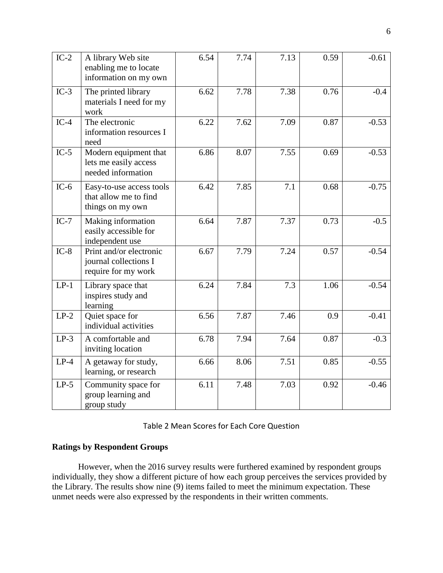| $IC-2$ | A library Web site<br>enabling me to locate<br>information on my own    | 6.54 | 7.74 | 7.13 | 0.59 | $-0.61$ |
|--------|-------------------------------------------------------------------------|------|------|------|------|---------|
| $IC-3$ | The printed library<br>materials I need for my<br>work                  | 6.62 | 7.78 | 7.38 | 0.76 | $-0.4$  |
| $IC-4$ | The electronic<br>information resources I<br>need                       | 6.22 | 7.62 | 7.09 | 0.87 | $-0.53$ |
| $IC-5$ | Modern equipment that<br>lets me easily access<br>needed information    | 6.86 | 8.07 | 7.55 | 0.69 | $-0.53$ |
| $IC-6$ | Easy-to-use access tools<br>that allow me to find<br>things on my own   | 6.42 | 7.85 | 7.1  | 0.68 | $-0.75$ |
| $IC-7$ | Making information<br>easily accessible for<br>independent use          | 6.64 | 7.87 | 7.37 | 0.73 | $-0.5$  |
| $IC-8$ | Print and/or electronic<br>journal collections I<br>require for my work | 6.67 | 7.79 | 7.24 | 0.57 | $-0.54$ |
| $LP-1$ | Library space that<br>inspires study and<br>learning                    | 6.24 | 7.84 | 7.3  | 1.06 | $-0.54$ |
| $LP-2$ | Quiet space for<br>individual activities                                | 6.56 | 7.87 | 7.46 | 0.9  | $-0.41$ |
| $LP-3$ | A comfortable and<br>inviting location                                  | 6.78 | 7.94 | 7.64 | 0.87 | $-0.3$  |
| $LP-4$ | A getaway for study,<br>learning, or research                           | 6.66 | 8.06 | 7.51 | 0.85 | $-0.55$ |
| $LP-5$ | Community space for<br>group learning and<br>group study                | 6.11 | 7.48 | 7.03 | 0.92 | $-0.46$ |

| Table 2 Mean Scores for Each Core Question |  |  |
|--------------------------------------------|--|--|
|--------------------------------------------|--|--|

## **Ratings by Respondent Groups**

However, when the 2016 survey results were furthered examined by respondent groups individually, they show a different picture of how each group perceives the services provided by the Library. The results show nine (9) items failed to meet the minimum expectation. These unmet needs were also expressed by the respondents in their written comments.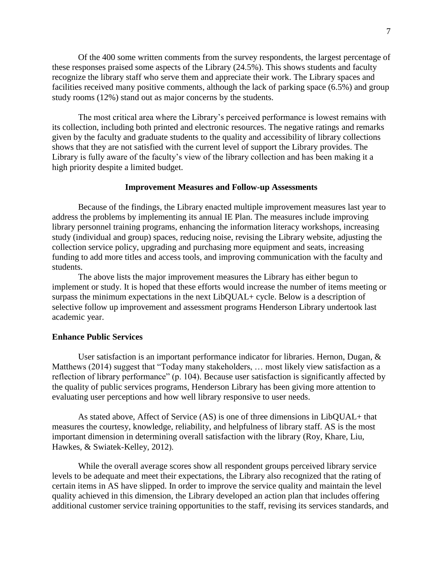Of the 400 some written comments from the survey respondents, the largest percentage of these responses praised some aspects of the Library (24.5%). This shows students and faculty recognize the library staff who serve them and appreciate their work. The Library spaces and facilities received many positive comments, although the lack of parking space (6.5%) and group study rooms (12%) stand out as major concerns by the students.

The most critical area where the Library's perceived performance is lowest remains with its collection, including both printed and electronic resources. The negative ratings and remarks given by the faculty and graduate students to the quality and accessibility of library collections shows that they are not satisfied with the current level of support the Library provides. The Library is fully aware of the faculty's view of the library collection and has been making it a high priority despite a limited budget.

## **Improvement Measures and Follow-up Assessments**

Because of the findings, the Library enacted multiple improvement measures last year to address the problems by implementing its annual IE Plan. The measures include improving library personnel training programs, enhancing the information literacy workshops, increasing study (individual and group) spaces, reducing noise, revising the Library website, adjusting the collection service policy, upgrading and purchasing more equipment and seats, increasing funding to add more titles and access tools, and improving communication with the faculty and students.

The above lists the major improvement measures the Library has either begun to implement or study. It is hoped that these efforts would increase the number of items meeting or surpass the minimum expectations in the next LibQUAL+ cycle. Below is a description of selective follow up improvement and assessment programs Henderson Library undertook last academic year.

## **Enhance Public Services**

User satisfaction is an important performance indicator for libraries. Hernon, Dugan,  $\&$ Matthews (2014) suggest that "Today many stakeholders, … most likely view satisfaction as a reflection of library performance" (p. 104). Because user satisfaction is significantly affected by the quality of public services programs, Henderson Library has been giving more attention to evaluating user perceptions and how well library responsive to user needs.

As stated above, Affect of Service (AS) is one of three dimensions in LibQUAL+ that measures the courtesy, knowledge, reliability, and helpfulness of library staff. AS is the most important dimension in determining overall satisfaction with the library (Roy, Khare, Liu, Hawkes, & Swiatek-Kelley, 2012).

While the overall average scores show all respondent groups perceived library service levels to be adequate and meet their expectations, the Library also recognized that the rating of certain items in AS have slipped. In order to improve the service quality and maintain the level quality achieved in this dimension, the Library developed an action plan that includes offering additional customer service training opportunities to the staff, revising its services standards, and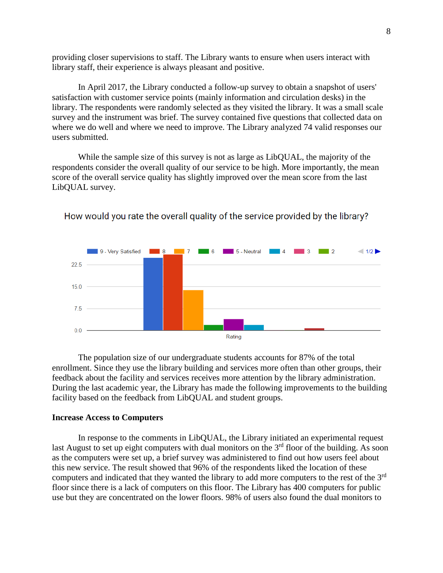providing closer supervisions to staff. The Library wants to ensure when users interact with library staff, their experience is always pleasant and positive.

In April 2017, the Library conducted a follow-up survey to obtain a snapshot of users' satisfaction with customer service points (mainly information and circulation desks) in the library. The respondents were randomly selected as they visited the library. It was a small scale survey and the instrument was brief. The survey contained five questions that collected data on where we do well and where we need to improve. The Library analyzed 74 valid responses our users submitted.

While the sample size of this survey is not as large as LibQUAL, the majority of the respondents consider the overall quality of our service to be high. More importantly, the mean score of the overall service quality has slightly improved over the mean score from the last LibQUAL survey.



How would you rate the overall quality of the service provided by the library?

The population size of our undergraduate students accounts for 87% of the total enrollment. Since they use the library building and services more often than other groups, their feedback about the facility and services receives more attention by the library administration. During the last academic year, the Library has made the following improvements to the building facility based on the feedback from LibQUAL and student groups.

## **Increase Access to Computers**

In response to the comments in LibQUAL, the Library initiated an experimental request last August to set up eight computers with dual monitors on the  $3<sup>rd</sup>$  floor of the building. As soon as the computers were set up, a brief survey was administered to find out how users feel about this new service. The result showed that 96% of the respondents liked the location of these computers and indicated that they wanted the library to add more computers to the rest of the 3rd floor since there is a lack of computers on this floor. The Library has 400 computers for public use but they are concentrated on the lower floors. 98% of users also found the dual monitors to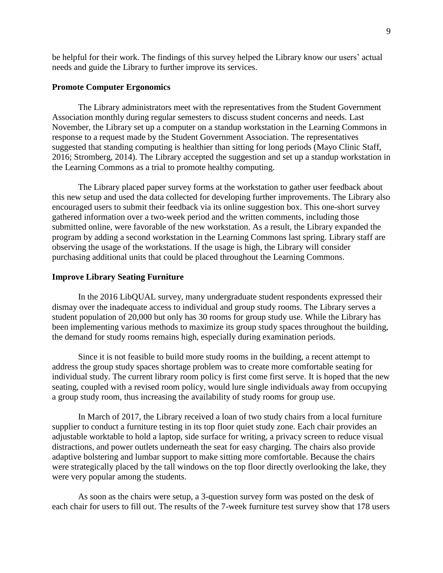be helpful for their work. The findings of this survey helped the Library know our users' actual needs and guide the Library to further improve its services.

## **Promote Computer Ergonomics**

The Library administrators meet with the representatives from the Student Government Association monthly during regular semesters to discuss student concerns and needs. Last November, the Library set up a computer on a standup workstation in the Learning Commons in response to a request made by the Student Government Association. The representatives suggested that standing computing is healthier than sitting for long periods (Mayo Clinic Staff, 2016; Stromberg, 2014). The Library accepted the suggestion and set up a standup workstation in the Learning Commons as a trial to promote healthy computing.

The Library placed paper survey forms at the workstation to gather user feedback about this new setup and used the data collected for developing further improvements. The Library also encouraged users to submit their feedback via its online suggestion box. This one-short survey gathered information over a two-week period and the written comments, including those submitted online, were favorable of the new workstation. As a result, the Library expanded the program by adding a second workstation in the Learning Commons last spring. Library staff are observing the usage of the workstations. If the usage is high, the Library will consider purchasing additional units that could be placed throughout the Learning Commons.

#### **Improve Library Seating Furniture**

In the 2016 LibQUAL survey, many undergraduate student respondents expressed their dismay over the inadequate access to individual and group study rooms. The Library serves a student population of 20,000 but only has 30 rooms for group study use. While the Library has been implementing various methods to maximize its group study spaces throughout the building, the demand for study rooms remains high, especially during examination periods.

Since it is not feasible to build more study rooms in the building, a recent attempt to address the group study spaces shortage problem was to create more comfortable seating for individual study. The current library room policy is first come first serve. It is hoped that the new seating, coupled with a revised room policy, would lure single individuals away from occupying a group study room, thus increasing the availability of study rooms for group use.

In March of 2017, the Library received a loan of two study chairs from a local furniture supplier to conduct a furniture testing in its top floor quiet study zone. Each chair provides an adjustable worktable to hold a laptop, side surface for writing, a privacy screen to reduce visual distractions, and power outlets underneath the seat for easy charging. The chairs also provide adaptive bolstering and lumbar support to make sitting more comfortable. Because the chairs were strategically placed by the tall windows on the top floor directly overlooking the lake, they were very popular among the students.

As soon as the chairs were setup, a 3-question survey form was posted on the desk of each chair for users to fill out. The results of the 7-week furniture test survey show that 178 users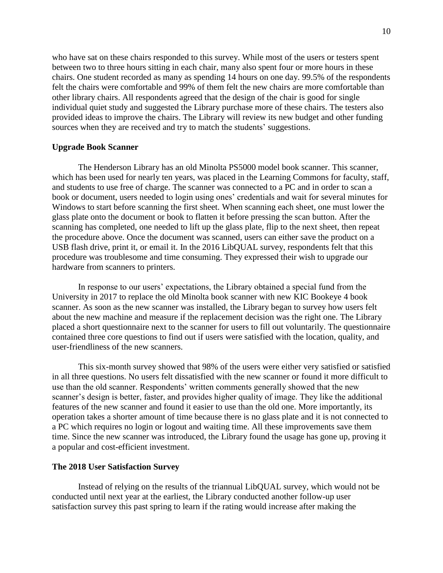who have sat on these chairs responded to this survey. While most of the users or testers spent between two to three hours sitting in each chair, many also spent four or more hours in these chairs. One student recorded as many as spending 14 hours on one day. 99.5% of the respondents felt the chairs were comfortable and 99% of them felt the new chairs are more comfortable than other library chairs. All respondents agreed that the design of the chair is good for single individual quiet study and suggested the Library purchase more of these chairs. The testers also provided ideas to improve the chairs. The Library will review its new budget and other funding sources when they are received and try to match the students' suggestions.

## **Upgrade Book Scanner**

The Henderson Library has an old Minolta PS5000 model book scanner. This scanner, which has been used for nearly ten years, was placed in the Learning Commons for faculty, staff, and students to use free of charge. The scanner was connected to a PC and in order to scan a book or document, users needed to login using ones' credentials and wait for several minutes for Windows to start before scanning the first sheet. When scanning each sheet, one must lower the glass plate onto the document or book to flatten it before pressing the scan button. After the scanning has completed, one needed to lift up the glass plate, flip to the next sheet, then repeat the procedure above. Once the document was scanned, users can either save the product on a USB flash drive, print it, or email it. In the 2016 LibQUAL survey, respondents felt that this procedure was troublesome and time consuming. They expressed their wish to upgrade our hardware from scanners to printers.

In response to our users' expectations, the Library obtained a special fund from the University in 2017 to replace the old Minolta book scanner with new KIC Bookeye 4 book scanner. As soon as the new scanner was installed, the Library began to survey how users felt about the new machine and measure if the replacement decision was the right one. The Library placed a short questionnaire next to the scanner for users to fill out voluntarily. The questionnaire contained three core questions to find out if users were satisfied with the location, quality, and user-friendliness of the new scanners.

This six-month survey showed that 98% of the users were either very satisfied or satisfied in all three questions. No users felt dissatisfied with the new scanner or found it more difficult to use than the old scanner. Respondents' written comments generally showed that the new scanner's design is better, faster, and provides higher quality of image. They like the additional features of the new scanner and found it easier to use than the old one. More importantly, its operation takes a shorter amount of time because there is no glass plate and it is not connected to a PC which requires no login or logout and waiting time. All these improvements save them time. Since the new scanner was introduced, the Library found the usage has gone up, proving it a popular and cost-efficient investment.

## **The 2018 User Satisfaction Survey**

Instead of relying on the results of the triannual LibQUAL survey, which would not be conducted until next year at the earliest, the Library conducted another follow-up user satisfaction survey this past spring to learn if the rating would increase after making the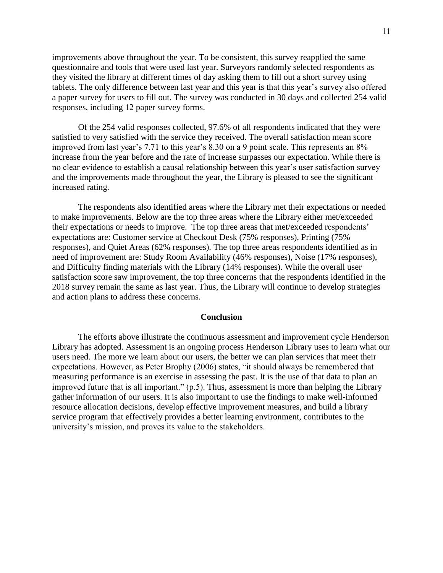improvements above throughout the year. To be consistent, this survey reapplied the same questionnaire and tools that were used last year. Surveyors randomly selected respondents as they visited the library at different times of day asking them to fill out a short survey using tablets. The only difference between last year and this year is that this year's survey also offered a paper survey for users to fill out. The survey was conducted in 30 days and collected 254 valid responses, including 12 paper survey forms.

Of the 254 valid responses collected, 97.6% of all respondents indicated that they were satisfied to very satisfied with the service they received. The overall satisfaction mean score improved from last year's 7.71 to this year's 8.30 on a 9 point scale. This represents an 8% increase from the year before and the rate of increase surpasses our expectation. While there is no clear evidence to establish a causal relationship between this year's user satisfaction survey and the improvements made throughout the year, the Library is pleased to see the significant increased rating.

The respondents also identified areas where the Library met their expectations or needed to make improvements. Below are the top three areas where the Library either met/exceeded their expectations or needs to improve. The top three areas that met/exceeded respondents' expectations are: Customer service at Checkout Desk (75% responses), Printing (75% responses), and Quiet Areas (62% responses). The top three areas respondents identified as in need of improvement are: Study Room Availability (46% responses), Noise (17% responses), and Difficulty finding materials with the Library (14% responses). While the overall user satisfaction score saw improvement, the top three concerns that the respondents identified in the 2018 survey remain the same as last year. Thus, the Library will continue to develop strategies and action plans to address these concerns.

#### **Conclusion**

The efforts above illustrate the continuous assessment and improvement cycle Henderson Library has adopted. Assessment is an ongoing process Henderson Library uses to learn what our users need. The more we learn about our users, the better we can plan services that meet their expectations. However, as Peter Brophy (2006) states, "it should always be remembered that measuring performance is an exercise in assessing the past. It is the use of that data to plan an improved future that is all important." (p.5). Thus, assessment is more than helping the Library gather information of our users. It is also important to use the findings to make well-informed resource allocation decisions, develop effective improvement measures, and build a library service program that effectively provides a better learning environment, contributes to the university's mission, and proves its value to the stakeholders.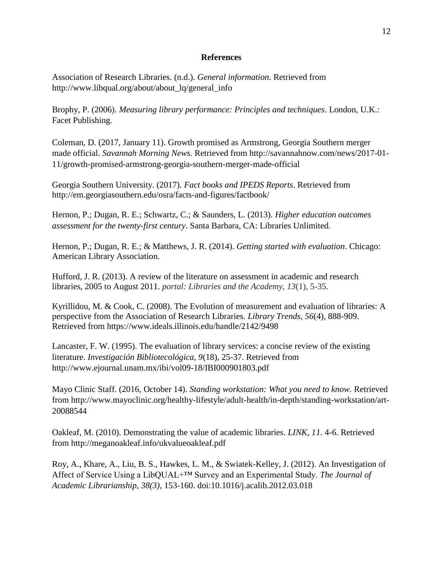## **References**

Association of Research Libraries. (n.d.). *General information*. Retrieved from http://www.libqual.org/about/about\_lq/general\_info

Brophy, P. (2006). *Measuring library performance: Principles and techniques*. London, U.K.: Facet Publishing.

Coleman, D. (2017, January 11). Growth promised as Armstrong, Georgia Southern merger made official. *Savannah Morning News*. Retrieved from http://savannahnow.com/news/2017-01- 11/growth-promised-armstrong-georgia-southern-merger-made-official

Georgia Southern University. (2017). *Fact books and IPEDS Reports*. Retrieved from http://em.georgiasouthern.edu/osra/facts-and-figures/factbook/

Hernon, P.; Dugan, R. E.; Schwartz, C.; & Saunders, L. (2013). *Higher education outcomes assessment for the twenty-first century*. Santa Barbara, CA: Libraries Unlimited.

Hernon, P.; Dugan, R. E.; & Matthews, J. R. (2014). *Getting started with evaluation*. Chicago: American Library Association.

Hufford, J. R. (2013). A review of the literature on assessment in academic and research libraries, 2005 to August 2011. *portal: Libraries and the Academy, 13*(1), 5-35.

Kyrillidou, M. & Cook, C. (2008). The Evolution of measurement and evaluation of libraries: A perspective from the Association of Research Libraries. *Library Trends, 56*(4), 888-909. Retrieved from https://www.ideals.illinois.edu/handle/2142/9498

Lancaster, F. W. (1995). The evaluation of library services: a concise review of the existing literature. *Investigación Bibliotecológica, 9*(18), 25-37. Retrieved from http://www.ejournal.unam.mx/ibi/vol09-18/IBI000901803.pdf

Mayo Clinic Staff. (2016, October 14). *Standing workstation: What you need to know.* Retrieved from http://www.mayoclinic.org/healthy-lifestyle/adult-health/in-depth/standing-workstation/art-20088544

Oakleaf, M. (2010). Demonstrating the value of academic libraries. *LINK, 11.* 4-6. Retrieved from http://meganoakleaf.info/ukvalueoakleaf.pdf

Roy, A., Khare, A., Liu, B. S., Hawkes, L. M., & Swiatek-Kelley, J. (2012). An Investigation of Affect of Service Using a LibQUAL+™ Survey and an Experimental Study. *The Journal of Academic Librarianship*, *38(3),* 153-160. doi:10.1016/j.acalib.2012.03.018